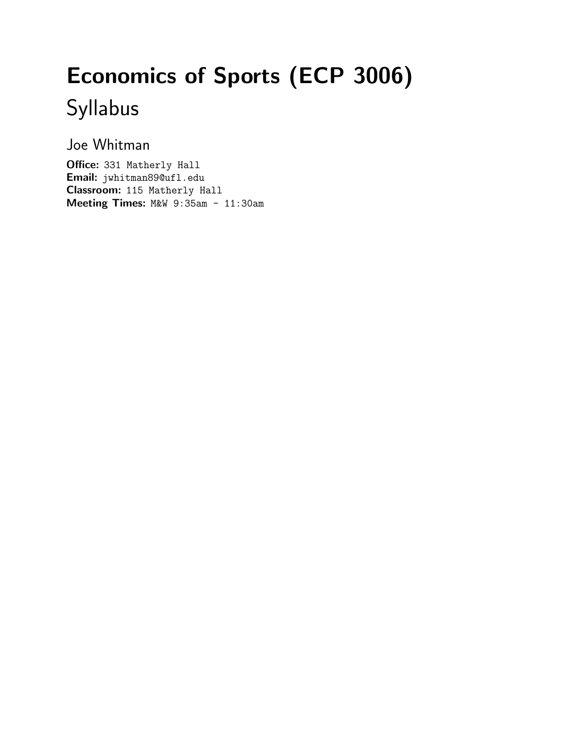# Economics of Sports (ECP 3006) Syllabus

Joe Whitman

Office: 331 Matherly Hall Email: jwhitman89@ufl.edu Classroom: 115 Matherly Hall Meeting Times: M&W 9:35am - 11:30am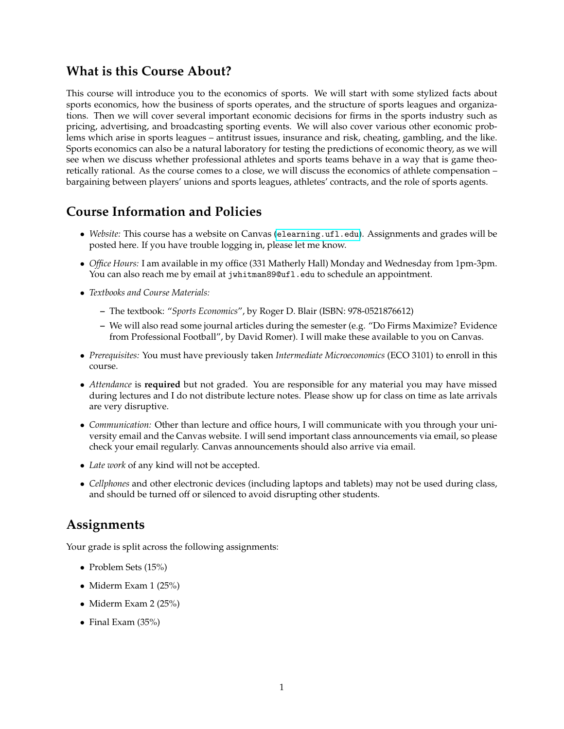#### **What is this Course About?**

This course will introduce you to the economics of sports. We will start with some stylized facts about sports economics, how the business of sports operates, and the structure of sports leagues and organizations. Then we will cover several important economic decisions for firms in the sports industry such as pricing, advertising, and broadcasting sporting events. We will also cover various other economic problems which arise in sports leagues – antitrust issues, insurance and risk, cheating, gambling, and the like. Sports economics can also be a natural laboratory for testing the predictions of economic theory, as we will see when we discuss whether professional athletes and sports teams behave in a way that is game theoretically rational. As the course comes to a close, we will discuss the economics of athlete compensation – bargaining between players' unions and sports leagues, athletes' contracts, and the role of sports agents.

### **Course Information and Policies**

- *Website:* This course has a website on Canvas (<elearning.ufl.edu>). Assignments and grades will be posted here. If you have trouble logging in, please let me know.
- *Office Hours:* I am available in my office (331 Matherly Hall) Monday and Wednesday from 1pm-3pm. You can also reach me by email at jwhitman89@ufl.edu to schedule an appointment.
- *Textbooks and Course Materials:*
	- **–** The textbook: "*Sports Economics*", by Roger D. Blair (ISBN: 978-0521876612)
	- **–** We will also read some journal articles during the semester (e.g. "Do Firms Maximize? Evidence from Professional Football", by David Romer). I will make these available to you on Canvas.
- *Prerequisites:* You must have previously taken *Intermediate Microeconomics* (ECO 3101) to enroll in this course.
- *Attendance* is **required** but not graded. You are responsible for any material you may have missed during lectures and I do not distribute lecture notes. Please show up for class on time as late arrivals are very disruptive.
- *Communication:* Other than lecture and office hours, I will communicate with you through your university email and the Canvas website. I will send important class announcements via email, so please check your email regularly. Canvas announcements should also arrive via email.
- *Late work* of any kind will not be accepted.
- *Cellphones* and other electronic devices (including laptops and tablets) may not be used during class, and should be turned off or silenced to avoid disrupting other students.

#### **Assignments**

Your grade is split across the following assignments:

- Problem Sets (15%)
- Miderm Exam 1 (25%)
- Miderm Exam 2 (25%)
- Final Exam (35%)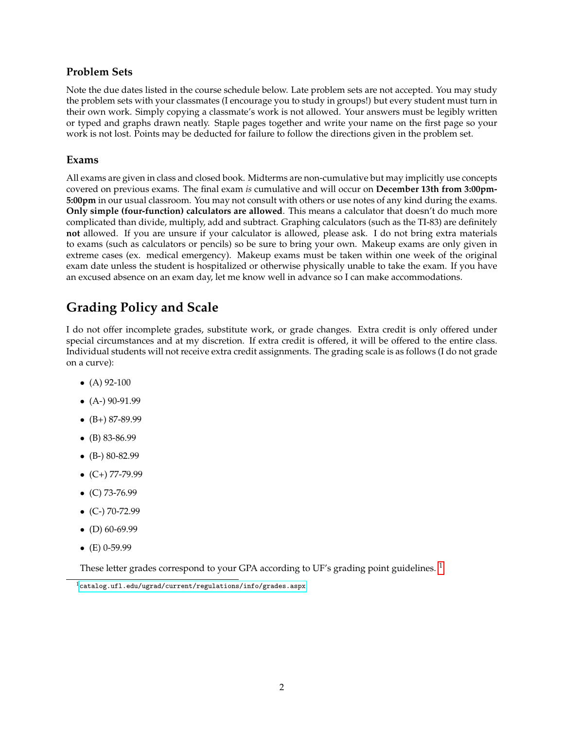#### **Problem Sets**

Note the due dates listed in the course schedule below. Late problem sets are not accepted. You may study the problem sets with your classmates (I encourage you to study in groups!) but every student must turn in their own work. Simply copying a classmate's work is not allowed. Your answers must be legibly written or typed and graphs drawn neatly. Staple pages together and write your name on the first page so your work is not lost. Points may be deducted for failure to follow the directions given in the problem set.

#### **Exams**

All exams are given in class and closed book. Midterms are non-cumulative but may implicitly use concepts covered on previous exams. The final exam *is* cumulative and will occur on **December 13th from 3:00pm-5:00pm** in our usual classroom. You may not consult with others or use notes of any kind during the exams. **Only simple (four-function) calculators are allowed**. This means a calculator that doesn't do much more complicated than divide, multiply, add and subtract. Graphing calculators (such as the TI-83) are definitely **not** allowed. If you are unsure if your calculator is allowed, please ask. I do not bring extra materials to exams (such as calculators or pencils) so be sure to bring your own. Makeup exams are only given in extreme cases (ex. medical emergency). Makeup exams must be taken within one week of the original exam date unless the student is hospitalized or otherwise physically unable to take the exam. If you have an excused absence on an exam day, let me know well in advance so I can make accommodations.

## **Grading Policy and Scale**

I do not offer incomplete grades, substitute work, or grade changes. Extra credit is only offered under special circumstances and at my discretion. If extra credit is offered, it will be offered to the entire class. Individual students will not receive extra credit assignments. The grading scale is as follows (I do not grade on a curve):

- $(A)$  92-100
- $\bullet$  (A-) 90-91.99
- $\bullet$  (B+) 87-89.99
- (B) 83-86.99
- $\bullet$  (B-) 80-82.99
- $\bullet$  (C+) 77-79.99
- $\bullet$  (C) 73-76.99
- $\bullet$  (C-) 70-72.99
- $\bullet$  (D) 60-69.99
- $\bullet$  (E) 0-59.99

These letter grades correspond to your GPA according to UF's grading point guidelines. <sup>[1](#page-2-0)</sup>

<span id="page-2-0"></span> $1$ <catalog.ufl.edu/ugrad/current/regulations/info/grades.aspx>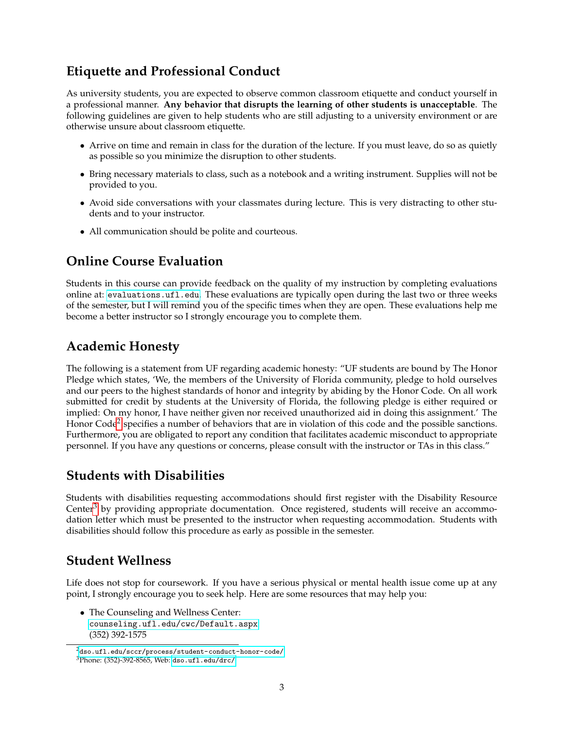### **Etiquette and Professional Conduct**

As university students, you are expected to observe common classroom etiquette and conduct yourself in a professional manner. **Any behavior that disrupts the learning of other students is unacceptable**. The following guidelines are given to help students who are still adjusting to a university environment or are otherwise unsure about classroom etiquette.

- Arrive on time and remain in class for the duration of the lecture. If you must leave, do so as quietly as possible so you minimize the disruption to other students.
- Bring necessary materials to class, such as a notebook and a writing instrument. Supplies will not be provided to you.
- Avoid side conversations with your classmates during lecture. This is very distracting to other students and to your instructor.
- All communication should be polite and courteous.

#### **Online Course Evaluation**

Students in this course can provide feedback on the quality of my instruction by completing evaluations online at: <evaluations.ufl.edu>. These evaluations are typically open during the last two or three weeks of the semester, but I will remind you of the specific times when they are open. These evaluations help me become a better instructor so I strongly encourage you to complete them.

#### **Academic Honesty**

The following is a statement from UF regarding academic honesty: "UF students are bound by The Honor Pledge which states, 'We, the members of the University of Florida community, pledge to hold ourselves and our peers to the highest standards of honor and integrity by abiding by the Honor Code. On all work submitted for credit by students at the University of Florida, the following pledge is either required or implied: On my honor, I have neither given nor received unauthorized aid in doing this assignment.' The Honor Code<sup>[2](#page-3-0)</sup> specifies a number of behaviors that are in violation of this code and the possible sanctions. Furthermore, you are obligated to report any condition that facilitates academic misconduct to appropriate personnel. If you have any questions or concerns, please consult with the instructor or TAs in this class."

#### **Students with Disabilities**

Students with disabilities requesting accommodations should first register with the Disability Resource Center<sup>[3](#page-3-1)</sup> by providing appropriate documentation. Once registered, students will receive an accommodation letter which must be presented to the instructor when requesting accommodation. Students with disabilities should follow this procedure as early as possible in the semester.

#### **Student Wellness**

Life does not stop for coursework. If you have a serious physical or mental health issue come up at any point, I strongly encourage you to seek help. Here are some resources that may help you:

• The Counseling and Wellness Center: <counseling.ufl.edu/cwc/Default.aspx> (352) 392-1575

<span id="page-3-0"></span><sup>2</sup><dso.ufl.edu/sccr/process/student-conduct-honor-code/>

<span id="page-3-1"></span><sup>3</sup>Phone: (352)-392-8565, Web: <dso.ufl.edu/drc/>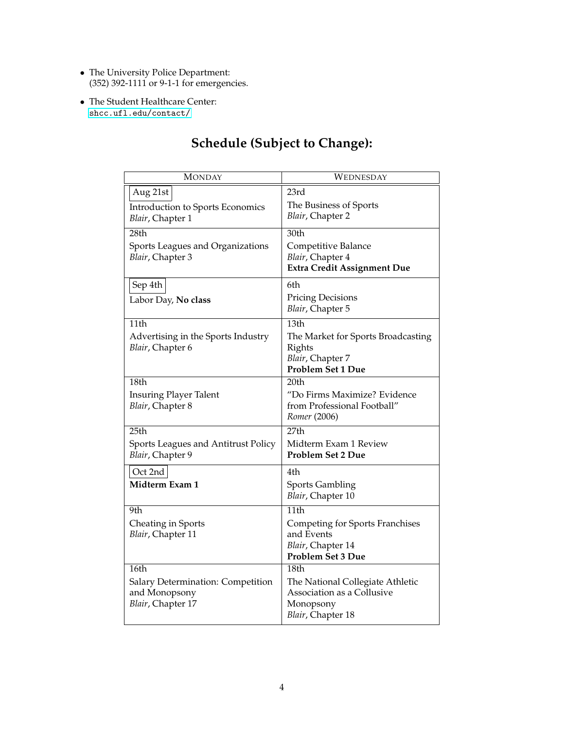- The University Police Department: (352) 392-1111 or 9-1-1 for emergencies.
- The Student Healthcare Center: <shcc.ufl.edu/contact/>

| MONDAY                                                                          | WEDNESDAY                                                                                                |
|---------------------------------------------------------------------------------|----------------------------------------------------------------------------------------------------------|
| Aug 21st<br>Introduction to Sports Economics<br>Blair, Chapter 1                | 23rd<br>The Business of Sports<br>Blair, Chapter 2                                                       |
| 28th<br>Sports Leagues and Organizations<br>Blair, Chapter 3                    | 30th<br>Competitive Balance<br>Blair, Chapter 4<br><b>Extra Credit Assignment Due</b>                    |
| Sep 4th<br>Labor Day, No class                                                  | 6th<br><b>Pricing Decisions</b><br>Blair, Chapter 5                                                      |
| 11th<br>Advertising in the Sports Industry<br><i>Blair</i> , Chapter 6          | 13th<br>The Market for Sports Broadcasting<br>Rights<br>Blair, Chapter 7<br><b>Problem Set 1 Due</b>     |
| 18th<br><b>Insuring Player Talent</b><br>Blair, Chapter 8                       | 20th<br>"Do Firms Maximize? Evidence<br>from Professional Football"<br>Romer (2006)                      |
| 25th<br>Sports Leagues and Antitrust Policy<br>Blair, Chapter 9                 | 27th<br>Midterm Exam 1 Review<br><b>Problem Set 2 Due</b>                                                |
| Oct 2nd<br>Midterm Exam 1                                                       | 4th<br><b>Sports Gambling</b><br>Blair, Chapter 10                                                       |
| 9th<br>Cheating in Sports<br>Blair, Chapter 11                                  | 11th<br>Competing for Sports Franchises<br>and Events<br>Blair, Chapter 14<br><b>Problem Set 3 Due</b>   |
| 16th<br>Salary Determination: Competition<br>and Monopsony<br>Blair, Chapter 17 | 18th<br>The National Collegiate Athletic<br>Association as a Collusive<br>Monopsony<br>Blair, Chapter 18 |

## **Schedule (Subject to Change):**